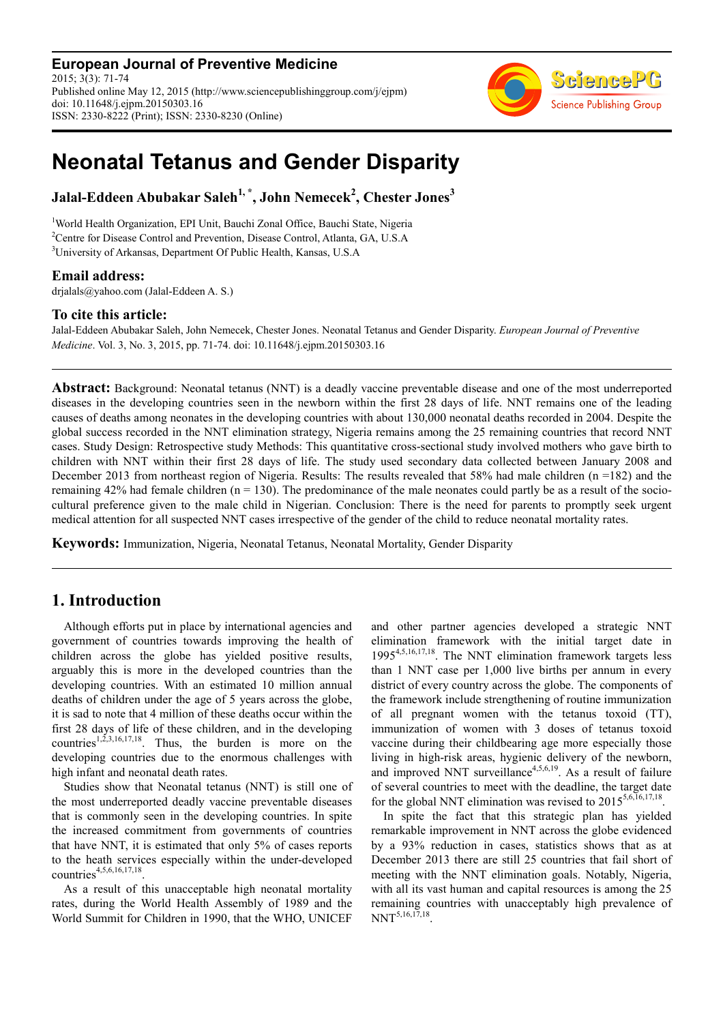**European Journal of Preventive Medicine** 2015; 3(3): 71-74 Published online May 12, 2015 (http://www.sciencepublishinggroup.com/j/ejpm) doi: 10.11648/j.ejpm.20150303.16 ISSN: 2330-8222 (Print); ISSN: 2330-8230 (Online)



# **Neonatal Tetanus and Gender Disparity**

**Jalal-Eddeen Abubakar Saleh1, \*, John Nemecek<sup>2</sup> , Chester Jones<sup>3</sup>**

<sup>1</sup>World Health Organization, EPI Unit, Bauchi Zonal Office, Bauchi State, Nigeria <sup>2</sup>Centre for Disease Control and Prevention, Disease Control, Atlanta, GA, U.S.A <sup>3</sup>University of Arkansas, Department Of Public Health, Kansas, U.S.A

#### **Email address:**

drjalals@yahoo.com (Jalal-Eddeen A. S.)

#### **To cite this article:**

Jalal-Eddeen Abubakar Saleh, John Nemecek, Chester Jones. Neonatal Tetanus and Gender Disparity. *European Journal of Preventive Medicine*. Vol. 3, No. 3, 2015, pp. 71-74. doi: 10.11648/j.ejpm.20150303.16

**Abstract:** Background: Neonatal tetanus (NNT) is a deadly vaccine preventable disease and one of the most underreported diseases in the developing countries seen in the newborn within the first 28 days of life. NNT remains one of the leading causes of deaths among neonates in the developing countries with about 130,000 neonatal deaths recorded in 2004. Despite the global success recorded in the NNT elimination strategy, Nigeria remains among the 25 remaining countries that record NNT cases. Study Design: Retrospective study Methods: This quantitative cross-sectional study involved mothers who gave birth to children with NNT within their first 28 days of life. The study used secondary data collected between January 2008 and December 2013 from northeast region of Nigeria. Results: The results revealed that 58% had male children (n =182) and the remaining 42% had female children  $(n = 130)$ . The predominance of the male neonates could partly be as a result of the sociocultural preference given to the male child in Nigerian. Conclusion: There is the need for parents to promptly seek urgent medical attention for all suspected NNT cases irrespective of the gender of the child to reduce neonatal mortality rates.

**Keywords:** Immunization, Nigeria, Neonatal Tetanus, Neonatal Mortality, Gender Disparity

## **1. Introduction**

Although efforts put in place by international agencies and government of countries towards improving the health of children across the globe has yielded positive results, arguably this is more in the developed countries than the developing countries. With an estimated 10 million annual deaths of children under the age of 5 years across the globe, it is sad to note that 4 million of these deaths occur within the first 28 days of life of these children, and in the developing countries<sup>1,2,3,16,17,18</sup>. Thus, the burden is more on the developing countries due to the enormous challenges with high infant and neonatal death rates.

Studies show that Neonatal tetanus (NNT) is still one of the most underreported deadly vaccine preventable diseases that is commonly seen in the developing countries. In spite the increased commitment from governments of countries that have NNT, it is estimated that only 5% of cases reports to the heath services especially within the under-developed countries<sup>4,5,6,16,17,18</sup>.

As a result of this unacceptable high neonatal mortality rates, during the World Health Assembly of 1989 and the World Summit for Children in 1990, that the WHO, UNICEF and other partner agencies developed a strategic NNT elimination framework with the initial target date in 19954,5,16,17,18. The NNT elimination framework targets less than 1 NNT case per 1,000 live births per annum in every district of every country across the globe. The components of the framework include strengthening of routine immunization of all pregnant women with the tetanus toxoid (TT), immunization of women with 3 doses of tetanus toxoid vaccine during their childbearing age more especially those living in high-risk areas, hygienic delivery of the newborn, and improved NNT surveillance<sup>4,5,6,19</sup>. As a result of failure of several countries to meet with the deadline, the target date for the global NNT elimination was revised to  $2015^{5,6,16,17,18}$ .

In spite the fact that this strategic plan has yielded remarkable improvement in NNT across the globe evidenced by a 93% reduction in cases, statistics shows that as at December 2013 there are still 25 countries that fail short of meeting with the NNT elimination goals. Notably, Nigeria, with all its vast human and capital resources is among the 25 remaining countries with unacceptably high prevalence of  $NNT^{5,16,17,18}$ .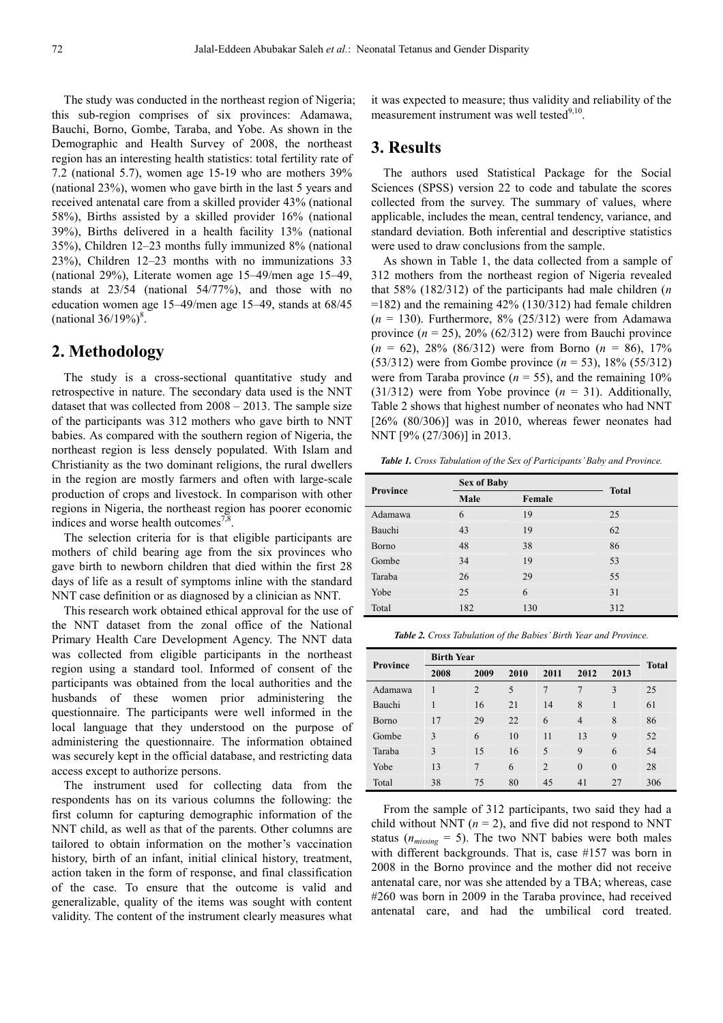The study was conducted in the northeast region of Nigeria; this sub-region comprises of six provinces: Adamawa, Bauchi, Borno, Gombe, Taraba, and Yobe. As shown in the Demographic and Health Survey of 2008, the northeast region has an interesting health statistics: total fertility rate of 7.2 (national 5.7), women age 15-19 who are mothers 39% (national 23%), women who gave birth in the last 5 years and received antenatal care from a skilled provider 43% (national 58%), Births assisted by a skilled provider 16% (national 39%), Births delivered in a health facility 13% (national 35%), Children 12–23 months fully immunized 8% (national 23%), Children 12–23 months with no immunizations 33 (national 29%), Literate women age 15–49/men age 15–49, stands at 23/54 (national 54/77%), and those with no education women age 15–49/men age 15–49, stands at 68/45 (national  $36/19\%$ )<sup>8</sup>.

## **2. Methodology**

The study is a cross-sectional quantitative study and retrospective in nature. The secondary data used is the NNT dataset that was collected from 2008 – 2013. The sample size of the participants was 312 mothers who gave birth to NNT babies. As compared with the southern region of Nigeria, the northeast region is less densely populated. With Islam and Christianity as the two dominant religions, the rural dwellers in the region are mostly farmers and often with large-scale production of crops and livestock. In comparison with other regions in Nigeria, the northeast region has poorer economic indices and worse health outcomes<sup>7,8</sup> .

The selection criteria for is that eligible participants are mothers of child bearing age from the six provinces who gave birth to newborn children that died within the first 28 days of life as a result of symptoms inline with the standard NNT case definition or as diagnosed by a clinician as NNT.

This research work obtained ethical approval for the use of the NNT dataset from the zonal office of the National Primary Health Care Development Agency. The NNT data was collected from eligible participants in the northeast region using a standard tool. Informed of consent of the participants was obtained from the local authorities and the husbands of these women prior administering the questionnaire. The participants were well informed in the local language that they understood on the purpose of administering the questionnaire. The information obtained was securely kept in the official database, and restricting data access except to authorize persons.

The instrument used for collecting data from the respondents has on its various columns the following: the first column for capturing demographic information of the NNT child, as well as that of the parents. Other columns are tailored to obtain information on the mother's vaccination history, birth of an infant, initial clinical history, treatment, action taken in the form of response, and final classification of the case. To ensure that the outcome is valid and generalizable, quality of the items was sought with content validity. The content of the instrument clearly measures what

it was expected to measure; thus validity and reliability of the measurement instrument was well tested<sup>9,10</sup>.

#### **3. Results**

The authors used Statistical Package for the Social Sciences (SPSS) version 22 to code and tabulate the scores collected from the survey. The summary of values, where applicable, includes the mean, central tendency, variance, and standard deviation. Both inferential and descriptive statistics were used to draw conclusions from the sample.

As shown in Table 1, the data collected from a sample of 312 mothers from the northeast region of Nigeria revealed that 58% (182/312) of the participants had male children (*n* =182) and the remaining 42% (130/312) had female children  $(n = 130)$ . Furthermore, 8% (25/312) were from Adamawa province  $(n = 25)$ , 20% (62/312) were from Bauchi province (*n* = 62), 28% (86/312) were from Borno (*n* = 86), 17% (53/312) were from Gombe province (*n* = 53), 18% (55/312) were from Taraba province  $(n = 55)$ , and the remaining 10% (31/312) were from Yobe province (*n* = 31). Additionally, Table 2 shows that highest number of neonates who had NNT  $[26\% (80/306)]$  was in 2010, whereas fewer neonates had NNT [9% (27/306)] in 2013.

*Table 1. Cross Tabulation of the Sex of Participants' Baby and Province.* 

| Province | <b>Sex of Baby</b> | <b>Total</b> |     |
|----------|--------------------|--------------|-----|
|          | Male               | Female       |     |
| Adamawa  | 6                  | 19           | 25  |
| Bauchi   | 43                 | 19           | 62  |
| Borno    | 48                 | 38           | 86  |
| Gombe    | 34                 | 19           | 53  |
| Taraba   | 26                 | 29           | 55  |
| Yobe     | 25                 | 6            | 31  |
| Total    | 182                | 130          | 312 |

*Table 2. Cross Tabulation of the Babies' Birth Year and Province.* 

| Province | <b>Birth Year</b> |                |      |                |                |          |              |
|----------|-------------------|----------------|------|----------------|----------------|----------|--------------|
|          | 2008              | 2009           | 2010 | 2011           | 2012           | 2013     | <b>Total</b> |
| Adamawa  |                   | $\overline{2}$ | 5    | $\overline{7}$ | $\overline{7}$ | 3        | 25           |
| Bauchi   | 1                 | 16             | 21   | 14             | 8              | 1        | 61           |
| Borno    | 17                | 29             | 22   | 6              | $\overline{4}$ | 8        | 86           |
| Gombe    | 3                 | 6              | 10   | 11             | 13             | 9        | 52           |
| Taraba   | 3                 | 15             | 16   | 5              | 9              | 6        | 54           |
| Yobe     | 13                | 7              | 6    | $\overline{2}$ | $\mathbf{0}$   | $\theta$ | 28           |
| Total    | 38                | 75             | 80   | 45             | 41             | 27       | 306          |

From the sample of 312 participants, two said they had a child without NNT  $(n = 2)$ , and five did not respond to NNT status ( $n_{missing}$  = 5). The two NNT babies were both males with different backgrounds. That is, case #157 was born in 2008 in the Borno province and the mother did not receive antenatal care, nor was she attended by a TBA; whereas, case #260 was born in 2009 in the Taraba province, had received antenatal care, and had the umbilical cord treated.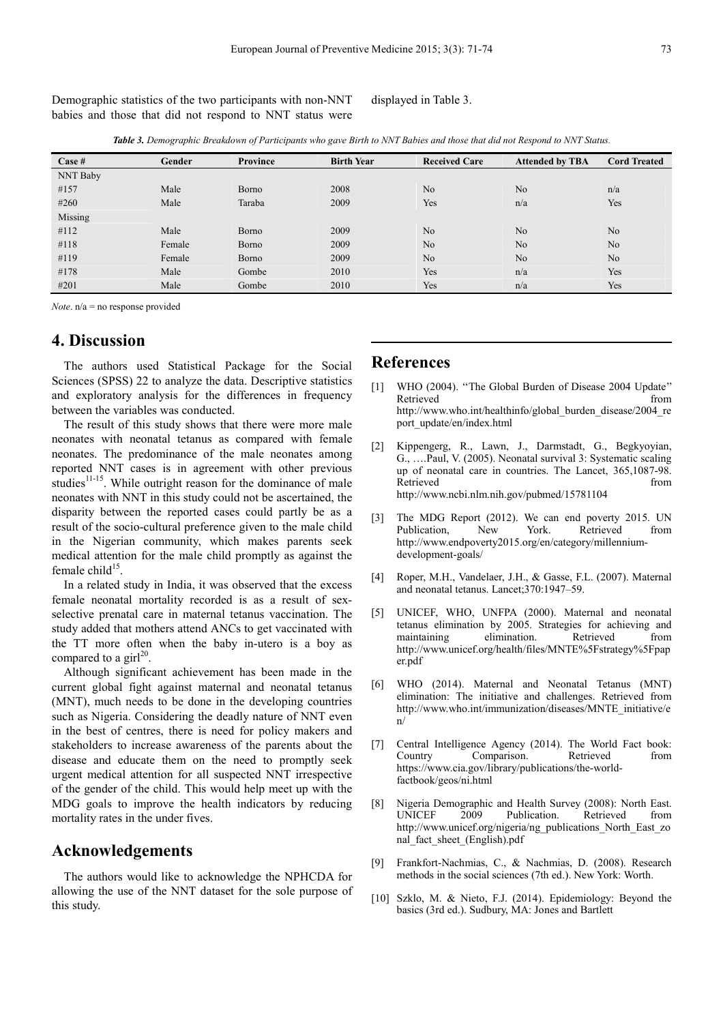Demographic statistics of the two participants with non-NNT babies and those that did not respond to NNT status were displayed in Table 3.

*Table 3. Demographic Breakdown of Participants who gave Birth to NNT Babies and those that did not Respond to NNT Status.* 

| Case #   | Gender | Province | <b>Birth Year</b> | <b>Received Care</b> | <b>Attended by TBA</b> | <b>Cord Treated</b> |
|----------|--------|----------|-------------------|----------------------|------------------------|---------------------|
| NNT Baby |        |          |                   |                      |                        |                     |
| #157     | Male   | Borno    | 2008              | N <sub>o</sub>       | N <sub>o</sub>         | n/a                 |
| #260     | Male   | Taraba   | 2009              | Yes                  | n/a                    | Yes                 |
| Missing  |        |          |                   |                      |                        |                     |
| #112     | Male   | Borno    | 2009              | N <sub>o</sub>       | N <sub>o</sub>         | N <sub>o</sub>      |
| #118     | Female | Borno    | 2009              | No                   | N <sub>o</sub>         | N <sub>o</sub>      |
| #119     | Female | Borno    | 2009              | N <sub>o</sub>       | N <sub>o</sub>         | N <sub>o</sub>      |
| #178     | Male   | Gombe    | 2010              | Yes                  | n/a                    | Yes                 |
| #201     | Male   | Gombe    | 2010              | Yes                  | n/a                    | Yes                 |

*Note*. n/a = no response provided

# **4. Discussion**

The authors used Statistical Package for the Social Sciences (SPSS) 22 to analyze the data. Descriptive statistics and exploratory analysis for the differences in frequency between the variables was conducted.

The result of this study shows that there were more male neonates with neonatal tetanus as compared with female neonates. The predominance of the male neonates among reported NNT cases is in agreement with other previous studies $11-15$ . While outright reason for the dominance of male neonates with NNT in this study could not be ascertained, the disparity between the reported cases could partly be as a result of the socio-cultural preference given to the male child in the Nigerian community, which makes parents seek medical attention for the male child promptly as against the female child $15$ .

In a related study in India, it was observed that the excess female neonatal mortality recorded is as a result of sexselective prenatal care in maternal tetanus vaccination. The study added that mothers attend ANCs to get vaccinated with the TT more often when the baby in-utero is a boy as compared to a girl<sup>20</sup>.

Although significant achievement has been made in the current global fight against maternal and neonatal tetanus (MNT), much needs to be done in the developing countries such as Nigeria. Considering the deadly nature of NNT even in the best of centres, there is need for policy makers and stakeholders to increase awareness of the parents about the disease and educate them on the need to promptly seek urgent medical attention for all suspected NNT irrespective of the gender of the child. This would help meet up with the MDG goals to improve the health indicators by reducing mortality rates in the under fives.

### **Acknowledgements**

The authors would like to acknowledge the NPHCDA for allowing the use of the NNT dataset for the sole purpose of this study.

#### **References**

- [1] WHO (2004). "The Global Burden of Disease 2004 Update" Retrieved from  $\blacksquare$ http://www.who.int/healthinfo/global\_burden\_disease/2004\_re port\_update/en/index.html
- [2] Kippengerg, R., Lawn, J., Darmstadt, G., Begkyoyian, G., ….Paul, V. (2005). Neonatal survival 3: Systematic scaling up of neonatal care in countries. The Lancet, 365,1087-98. Retrieved from the state of  $\sim$  from the state of  $\sim$  from the state of  $\sim$  from the state of  $\sim$  from the state of  $\sim$  from the state of  $\sim$  from the state of  $\sim$  from the state of  $\sim$  from the state of  $\sim$  from http://www.ncbi.nlm.nih.gov/pubmed/15781104
- [3] The MDG Report (2012). We can end poverty 2015. UN Publication, New York. Retrieved from http://www.endpoverty2015.org/en/category/millenniumdevelopment-goals/
- [4] Roper, M.H., Vandelaer, J.H., & Gasse, F.L. (2007). Maternal and neonatal tetanus. Lancet;370:1947–59.
- [5] UNICEF, WHO, UNFPA (2000). Maternal and neonatal tetanus elimination by 2005. Strategies for achieving and maintaining elimination. Retrieved from http://www.unicef.org/health/files/MNTE%5Fstrategy%5Fpap er.pdf
- [6] WHO (2014). Maternal and Neonatal Tetanus (MNT) elimination: The initiative and challenges. Retrieved from http://www.who.int/immunization/diseases/MNTE\_initiative/e n/
- [7] Central Intelligence Agency (2014). The World Fact book: Country Comparison. Retrieved from https://www.cia.gov/library/publications/the-worldfactbook/geos/ni.html
- [8] Nigeria Demographic and Health Survey (2008): North East. Publication. Retrieved from http://www.unicef.org/nigeria/ng\_publications\_North\_East\_zo nal\_fact\_sheet\_(English).pdf
- [9] Frankfort-Nachmias, C., & Nachmias, D. (2008). Research methods in the social sciences (7th ed.). New York: Worth.
- [10] Szklo, M. & Nieto, F.J. (2014). Epidemiology: Beyond the basics (3rd ed.). Sudbury, MA: Jones and Bartlett